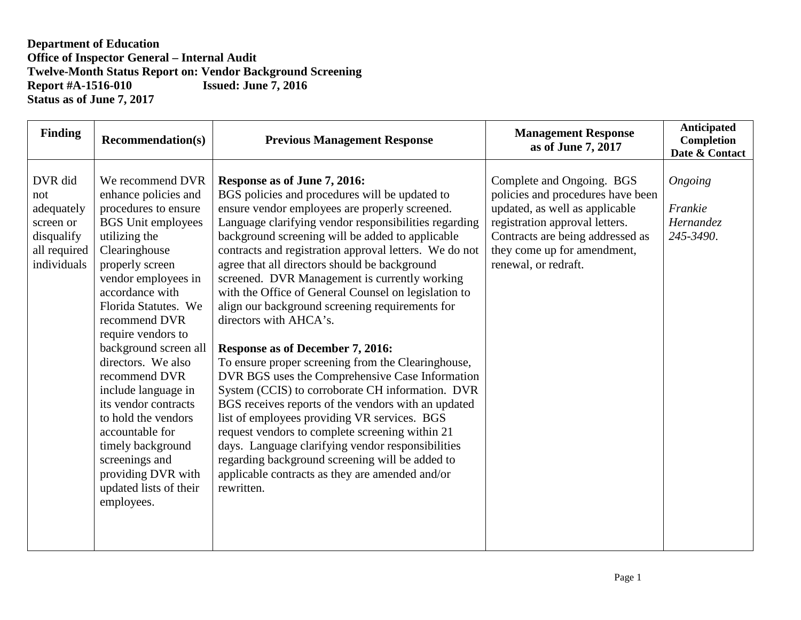## **Department of Education Office of Inspector General – Internal Audit Twelve-Month Status Report on: Vendor Background Screening<br>Report #A-1516-010 Issued: June 7, 2016 Report #A-1516-010 Status as of June 7, 2017**

| <b>Finding</b>                                                                         | <b>Recommendation(s)</b>                                                                                                                                                                                                                                                                                                                                                                                                                                                                                                  | <b>Previous Management Response</b>                                                                                                                                                                                                                                                                                                                                                                                                                                                                                                                                                                                                                                                                                                                                                                                                                                                                                                                                                                                                                                                       | <b>Management Response</b><br>as of June 7, 2017                                                                                                                                                                              | <b>Anticipated</b><br>Completion<br>Date & Contact |
|----------------------------------------------------------------------------------------|---------------------------------------------------------------------------------------------------------------------------------------------------------------------------------------------------------------------------------------------------------------------------------------------------------------------------------------------------------------------------------------------------------------------------------------------------------------------------------------------------------------------------|-------------------------------------------------------------------------------------------------------------------------------------------------------------------------------------------------------------------------------------------------------------------------------------------------------------------------------------------------------------------------------------------------------------------------------------------------------------------------------------------------------------------------------------------------------------------------------------------------------------------------------------------------------------------------------------------------------------------------------------------------------------------------------------------------------------------------------------------------------------------------------------------------------------------------------------------------------------------------------------------------------------------------------------------------------------------------------------------|-------------------------------------------------------------------------------------------------------------------------------------------------------------------------------------------------------------------------------|----------------------------------------------------|
| DVR did<br>not<br>adequately<br>screen or<br>disqualify<br>all required<br>individuals | We recommend DVR<br>enhance policies and<br>procedures to ensure<br><b>BGS</b> Unit employees<br>utilizing the<br>Clearinghouse<br>properly screen<br>vendor employees in<br>accordance with<br>Florida Statutes. We<br>recommend DVR<br>require vendors to<br>background screen all<br>directors. We also<br>recommend DVR<br>include language in<br>its vendor contracts<br>to hold the vendors<br>accountable for<br>timely background<br>screenings and<br>providing DVR with<br>updated lists of their<br>employees. | Response as of June 7, 2016:<br>BGS policies and procedures will be updated to<br>ensure vendor employees are properly screened.<br>Language clarifying vendor responsibilities regarding<br>background screening will be added to applicable<br>contracts and registration approval letters. We do not<br>agree that all directors should be background<br>screened. DVR Management is currently working<br>with the Office of General Counsel on legislation to<br>align our background screening requirements for<br>directors with AHCA's.<br><b>Response as of December 7, 2016:</b><br>To ensure proper screening from the Clearinghouse,<br>DVR BGS uses the Comprehensive Case Information<br>System (CCIS) to corroborate CH information. DVR<br>BGS receives reports of the vendors with an updated<br>list of employees providing VR services. BGS<br>request vendors to complete screening within 21<br>days. Language clarifying vendor responsibilities<br>regarding background screening will be added to<br>applicable contracts as they are amended and/or<br>rewritten. | Complete and Ongoing. BGS<br>policies and procedures have been<br>updated, as well as applicable<br>registration approval letters.<br>Contracts are being addressed as<br>they come up for amendment,<br>renewal, or redraft. | Ongoing<br>Frankie<br>Hernandez<br>245-3490.       |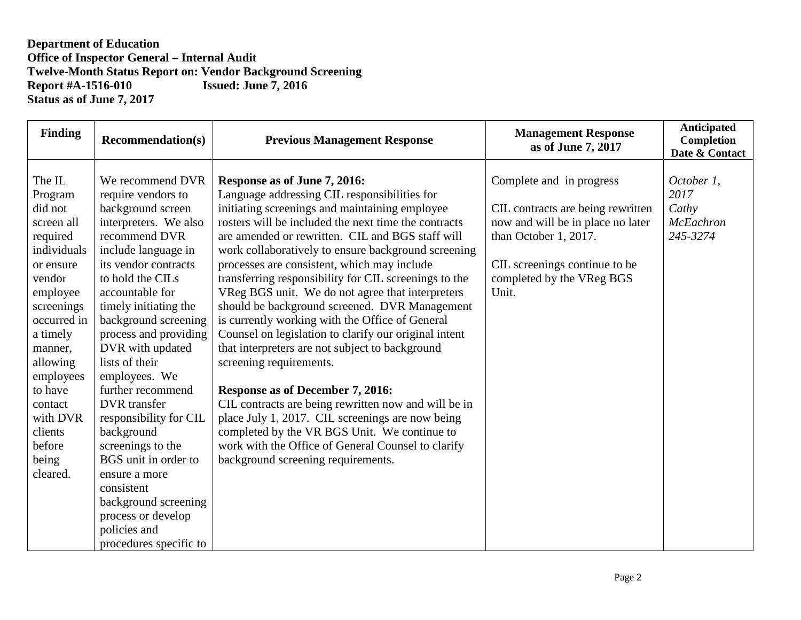## **Department of Education Office of Inspector General – Internal Audit Twelve-Month Status Report on: Vendor Background Screening<br>Report #A-1516-010 Issued: June 7, 2016 Report #A-1516-010 Status as of June 7, 2017**

| <b>Finding</b>                                                                                  | <b>Recommendation(s)</b>                                                                                                                                             | <b>Previous Management Response</b>                                                                                                                                                                                                                                                                                                                  | <b>Management Response</b><br>as of June 7, 2017                                                                                                             | Anticipated<br><b>Completion</b><br>Date & Contact          |
|-------------------------------------------------------------------------------------------------|----------------------------------------------------------------------------------------------------------------------------------------------------------------------|------------------------------------------------------------------------------------------------------------------------------------------------------------------------------------------------------------------------------------------------------------------------------------------------------------------------------------------------------|--------------------------------------------------------------------------------------------------------------------------------------------------------------|-------------------------------------------------------------|
| The IL<br>Program<br>did not<br>screen all<br>required<br>individuals<br>or ensure              | We recommend DVR<br>require vendors to<br>background screen<br>interpreters. We also<br>recommend DVR<br>include language in<br>its vendor contracts                 | Response as of June 7, 2016:<br>Language addressing CIL responsibilities for<br>initiating screenings and maintaining employee<br>rosters will be included the next time the contracts<br>are amended or rewritten. CIL and BGS staff will<br>work collaboratively to ensure background screening<br>processes are consistent, which may include     | Complete and in progress<br>CIL contracts are being rewritten<br>now and will be in place no later<br>than October 1, 2017.<br>CIL screenings continue to be | October 1,<br>2017<br>Cathy<br><b>McEachron</b><br>245-3274 |
| vendor<br>employee<br>screenings<br>occurred in<br>a timely<br>manner,<br>allowing<br>employees | to hold the CILs<br>accountable for<br>timely initiating the<br>background screening<br>process and providing<br>DVR with updated<br>lists of their<br>employees. We | transferring responsibility for CIL screenings to the<br>VReg BGS unit. We do not agree that interpreters<br>should be background screened. DVR Management<br>is currently working with the Office of General<br>Counsel on legislation to clarify our original intent<br>that interpreters are not subject to background<br>screening requirements. | completed by the VReg BGS<br>Unit.                                                                                                                           |                                                             |
| to have<br>contact<br>with DVR<br>clients<br>before<br>being                                    | further recommend<br><b>DVR</b> transfer<br>responsibility for CIL<br>background<br>screenings to the<br>BGS unit in order to                                        | <b>Response as of December 7, 2016:</b><br>CIL contracts are being rewritten now and will be in<br>place July 1, 2017. CIL screenings are now being<br>completed by the VR BGS Unit. We continue to<br>work with the Office of General Counsel to clarify<br>background screening requirements.                                                      |                                                                                                                                                              |                                                             |
| cleared.                                                                                        | ensure a more<br>consistent<br>background screening<br>process or develop<br>policies and<br>procedures specific to                                                  |                                                                                                                                                                                                                                                                                                                                                      |                                                                                                                                                              |                                                             |